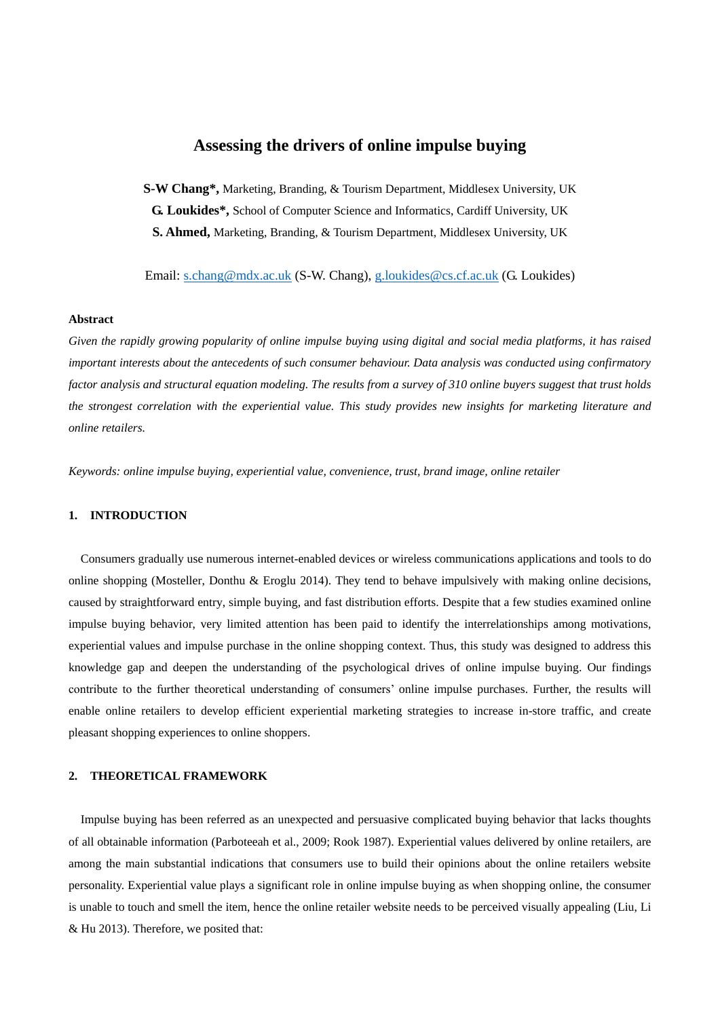# **Assessing the drivers of online impulse buying**

**S-W Chang\*,** Marketing, Branding, & Tourism Department, Middlesex University, UK **G. Loukides\*,** School of Computer Science and Informatics, Cardiff University, UK **S. Ahmed,** Marketing, Branding, & Tourism Department, Middlesex University, UK

Email: [s.chang@mdx.ac.uk](mailto:s.chang@mdx.ac.uk) (S-W. Chang), [g.loukides@cs.cf.ac.uk](mailto:g.loukides@cs.cf.ac.uk) (G. Loukides)

### **Abstract**

*Given the rapidly growing popularity of online impulse buying using digital and social media platforms, it has raised important interests about the antecedents of such consumer behaviour. Data analysis was conducted using confirmatory factor analysis and structural equation modeling. The results from a survey of 310 online buyers suggest that trust holds the strongest correlation with the experiential value. This study provides new insights for marketing literature and online retailers.*

*Keywords: online impulse buying, experiential value, convenience, trust, brand image, online retailer*

#### **1. INTRODUCTION**

Consumers gradually use numerous internet-enabled devices or wireless communications applications and tools to do online shopping (Mosteller, Donthu & Eroglu 2014). They tend to behave impulsively with making online decisions, caused by straightforward entry, simple buying, and fast distribution efforts. Despite that a few studies examined online impulse buying behavior, very limited attention has been paid to identify the interrelationships among motivations, experiential values and impulse purchase in the online shopping context. Thus, this study was designed to address this knowledge gap and deepen the understanding of the psychological drives of online impulse buying. Our findings contribute to the further theoretical understanding of consumers' online impulse purchases. Further, the results will enable online retailers to develop efficient experiential marketing strategies to increase in-store traffic, and create pleasant shopping experiences to online shoppers.

# **2. THEORETICAL FRAMEWORK**

Impulse buying has been referred as an unexpected and persuasive complicated buying behavior that lacks thoughts of all obtainable information (Parboteeah et al., 2009; Rook 1987). Experiential values delivered by online retailers, are among the main substantial indications that consumers use to build their opinions about the online retailers website personality. Experiential value plays a significant role in online impulse buying as when shopping online, the consumer is unable to touch and smell the item, hence the online retailer website needs to be perceived visually appealing (Liu, Li & Hu 2013). Therefore, we posited that: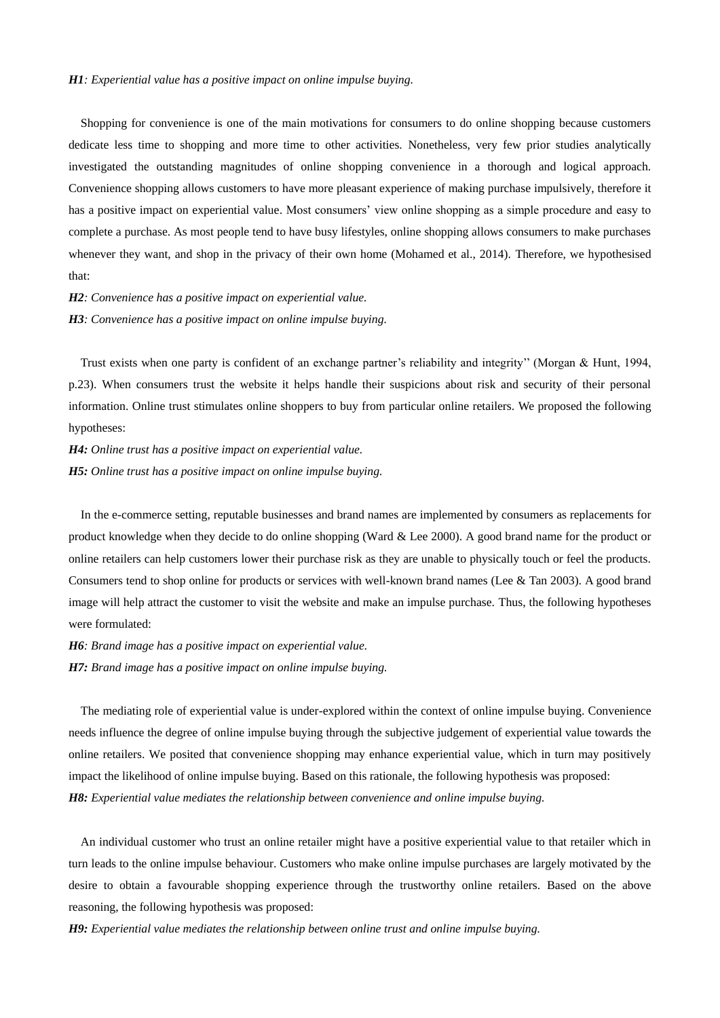#### *H1: Experiential value has a positive impact on online impulse buying.*

Shopping for convenience is one of the main motivations for consumers to do online shopping because customers dedicate less time to shopping and more time to other activities. Nonetheless, very few prior studies analytically investigated the outstanding magnitudes of online shopping convenience in a thorough and logical approach. Convenience shopping allows customers to have more pleasant experience of making purchase impulsively, therefore it has a positive impact on experiential value. Most consumers' view online shopping as a simple procedure and easy to complete a purchase. As most people tend to have busy lifestyles, online shopping allows consumers to make purchases whenever they want, and shop in the privacy of their own home (Mohamed et al., 2014). Therefore, we hypothesised that:

*H2: Convenience has a positive impact on experiential value. H3: Convenience has a positive impact on online impulse buying.*

Trust exists when one party is confident of an exchange partner's reliability and integrity'' (Morgan & Hunt, 1994, p.23). When consumers trust the website it helps handle their suspicions about risk and security of their personal information. Online trust stimulates online shoppers to buy from particular online retailers. We proposed the following hypotheses:

*H4: Online trust has a positive impact on experiential value. H5: Online trust has a positive impact on online impulse buying.*

In the e-commerce setting, reputable businesses and brand names are implemented by consumers as replacements for product knowledge when they decide to do online shopping (Ward & Lee 2000). A good brand name for the product or online retailers can help customers lower their purchase risk as they are unable to physically touch or feel the products. Consumers tend to shop online for products or services with well-known brand names (Lee & Tan 2003). A good brand image will help attract the customer to visit the website and make an impulse purchase. Thus, the following hypotheses were formulated:

*H6: Brand image has a positive impact on experiential value.*

*H7: Brand image has a positive impact on online impulse buying.*

The mediating role of experiential value is under-explored within the context of online impulse buying. Convenience needs influence the degree of online impulse buying through the subjective judgement of experiential value towards the online retailers. We posited that convenience shopping may enhance experiential value, which in turn may positively impact the likelihood of online impulse buying. Based on this rationale, the following hypothesis was proposed: *H8: Experiential value mediates the relationship between convenience and online impulse buying.*

An individual customer who trust an online retailer might have a positive experiential value to that retailer which in turn leads to the online impulse behaviour. Customers who make online impulse purchases are largely motivated by the desire to obtain a favourable shopping experience through the trustworthy online retailers. Based on the above reasoning, the following hypothesis was proposed:

*H9: Experiential value mediates the relationship between online trust and online impulse buying.*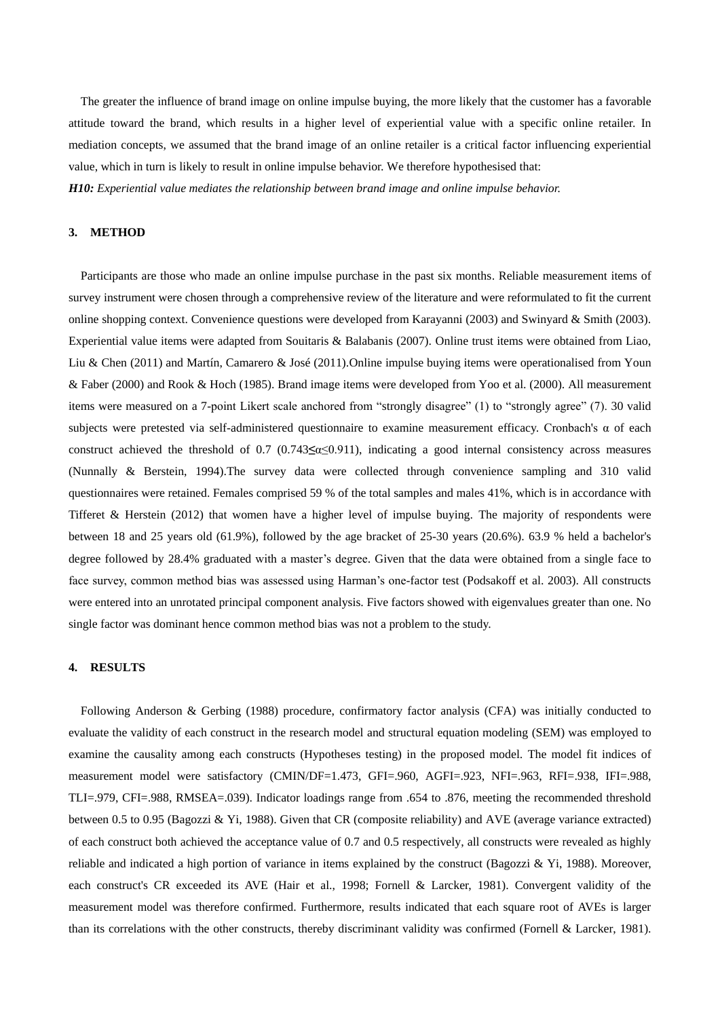The greater the influence of brand image on online impulse buying, the more likely that the customer has a favorable attitude toward the brand, which results in a higher level of experiential value with a specific online retailer. In mediation concepts, we assumed that the brand image of an online retailer is a critical factor influencing experiential value, which in turn is likely to result in online impulse behavior. We therefore hypothesised that: *H10: Experiential value mediates the relationship between brand image and online impulse behavior.*

# **3. METHOD**

Participants are those who made an online impulse purchase in the past six months. Reliable measurement items of survey instrument were chosen through a comprehensive review of the literature and were reformulated to fit the current online shopping context. Convenience questions were developed from Karayanni (2003) and Swinyard & Smith (2003). Experiential value items were adapted from Souitaris & Balabanis (2007). Online trust items were obtained from Liao, Liu & Chen (2011) and Martín, Camarero & José (2011).Online impulse buying items were operationalised from Youn & Faber (2000) and Rook & Hoch (1985). Brand image items were developed from Yoo et al. (2000). All measurement items were measured on a 7-point Likert scale anchored from "strongly disagree" (1) to "strongly agree" (7). 30 valid subjects were pretested via self-administered questionnaire to examine measurement efficacy. Cronbach's α of each construct achieved the threshold of 0.7 (0.743**≤**α≤0.911), indicating a good internal consistency across measures (Nunnally & Berstein, 1994).The survey data were collected through convenience sampling and 310 valid questionnaires were retained. Females comprised 59 % of the total samples and males 41%, which is in accordance with Tifferet & Herstein (2012) that women have a higher level of impulse buying. The majority of respondents were between 18 and 25 years old (61.9%), followed by the age bracket of 25-30 years (20.6%). 63.9 % held a bachelor's degree followed by 28.4% graduated with a master's degree. Given that the data were obtained from a single face to face survey, common method bias was assessed using Harman's one-factor test (Podsakoff et al. 2003). All constructs were entered into an unrotated principal component analysis. Five factors showed with eigenvalues greater than one. No single factor was dominant hence common method bias was not a problem to the study.

### **4. RESULTS**

Following Anderson & Gerbing (1988) procedure, confirmatory factor analysis (CFA) was initially conducted to evaluate the validity of each construct in the research model and structural equation modeling (SEM) was employed to examine the causality among each constructs (Hypotheses testing) in the proposed model. The model fit indices of measurement model were satisfactory (CMIN/DF=1.473, GFI=.960, AGFI=.923, NFI=.963, RFI=.938, IFI=.988, TLI=.979, CFI=.988, RMSEA=.039). Indicator loadings range from .654 to .876, meeting the recommended threshold between 0.5 to 0.95 (Bagozzi & Yi, 1988). Given that CR (composite reliability) and AVE (average variance extracted) of each construct both achieved the acceptance value of 0.7 and 0.5 respectively, all constructs were revealed as highly reliable and indicated a high portion of variance in items explained by the construct (Bagozzi & Yi, 1988). Moreover, each construct's CR exceeded its AVE (Hair et al., 1998; Fornell & Larcker, 1981). Convergent validity of the measurement model was therefore confirmed. Furthermore, results indicated that each square root of AVEs is larger than its correlations with the other constructs, thereby discriminant validity was confirmed (Fornell & Larcker, 1981).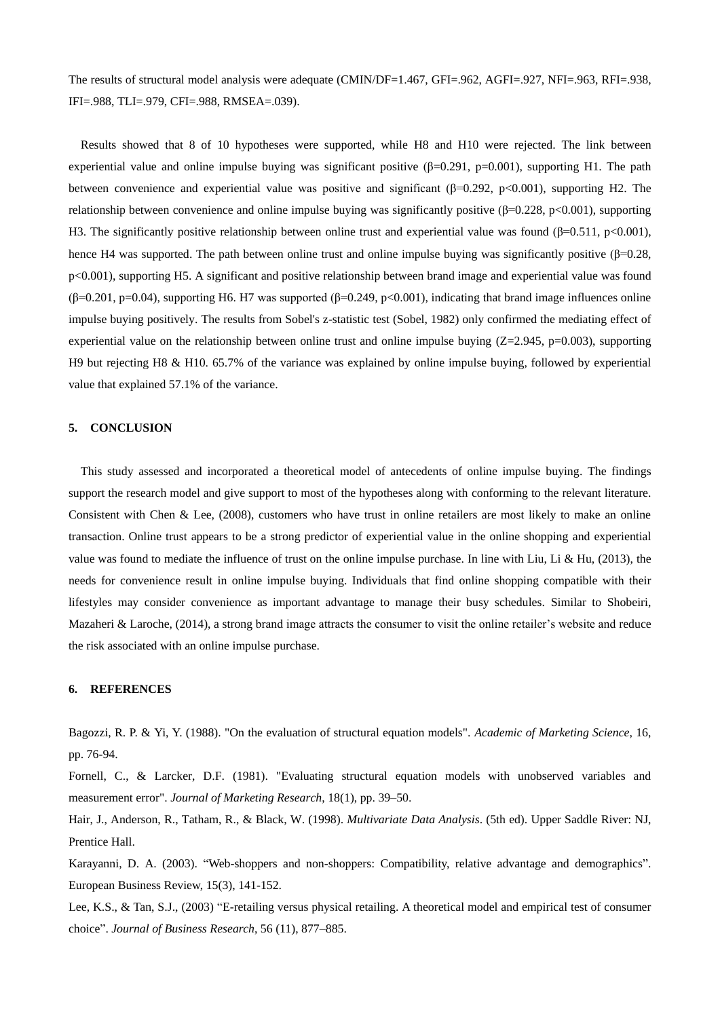The results of structural model analysis were adequate (CMIN/DF=1.467, GFI=.962, AGFI=.927, NFI=.963, RFI=.938, IFI=.988, TLI=.979, CFI=.988, RMSEA=.039).

Results showed that 8 of 10 hypotheses were supported, while H8 and H10 were rejected. The link between experiential value and online impulse buying was significant positive  $(\beta=0.291, p=0.001)$ , supporting H1. The path between convenience and experiential value was positive and significant (β=0.292, p<0.001), supporting H2. The relationship between convenience and online impulse buying was significantly positive (β=0.228, p<0.001), supporting H3. The significantly positive relationship between online trust and experiential value was found (β=0.511, p<0.001), hence H4 was supported. The path between online trust and online impulse buying was significantly positive (β=0.28, p<0.001), supporting H5. A significant and positive relationship between brand image and experiential value was found (β=0.201, p=0.04), supporting H6. H7 was supported (β=0.249, p<0.001), indicating that brand image influences online impulse buying positively. The results from Sobel's z-statistic test (Sobel, 1982) only confirmed the mediating effect of experiential value on the relationship between online trust and online impulse buying (Z=2.945, p=0.003), supporting H9 but rejecting H8 & H10. 65.7% of the variance was explained by online impulse buying, followed by experiential value that explained 57.1% of the variance.

## **5. CONCLUSION**

This study assessed and incorporated a theoretical model of antecedents of online impulse buying. The findings support the research model and give support to most of the hypotheses along with conforming to the relevant literature. Consistent with Chen & Lee, (2008), customers who have trust in online retailers are most likely to make an online transaction. Online trust appears to be a strong predictor of experiential value in the online shopping and experiential value was found to mediate the influence of trust on the online impulse purchase. In line with Liu, Li & Hu,  $(2013)$ , the needs for convenience result in online impulse buying. Individuals that find online shopping compatible with their lifestyles may consider convenience as important advantage to manage their busy schedules. Similar to Shobeiri, Mazaheri & Laroche, (2014), a strong brand image attracts the consumer to visit the online retailer's website and reduce the risk associated with an online impulse purchase.

#### **6. REFERENCES**

Bagozzi, R. P. & Yi, Y. (1988). "On the evaluation of structural equation models". *Academic of Marketing Science*, 16, pp. 76-94.

Fornell, C., & Larcker, D.F. (1981). "Evaluating structural equation models with unobserved variables and measurement error". *Journal of Marketing Research*, 18(1), pp. 39–50.

Hair, J., Anderson, R., Tatham, R., & Black, W. (1998). *Multivariate Data Analysis*. (5th ed). Upper Saddle River: NJ, Prentice Hall.

Karayanni, D. A. (2003). "Web-shoppers and non-shoppers: Compatibility, relative advantage and demographics". European Business Review, 15(3), 141-152.

Lee, K.S., & Tan, S.J., (2003) "E-retailing versus physical retailing. A theoretical model and empirical test of consumer choice". *Journal of Business Research*, 56 (11), 877–885.